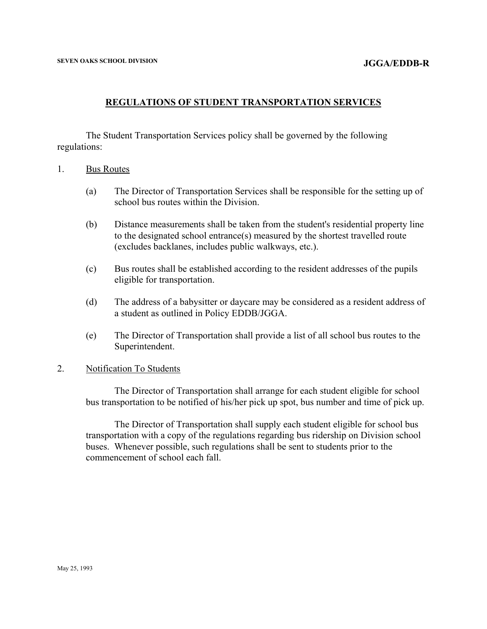# **REGULATIONS OF STUDENT TRANSPORTATION SERVICES**

The Student Transportation Services policy shall be governed by the following regulations:

- 1. Bus Routes
	- (a) The Director of Transportation Services shall be responsible for the setting up of school bus routes within the Division.
	- (b) Distance measurements shall be taken from the student's residential property line to the designated school entrance(s) measured by the shortest travelled route (excludes backlanes, includes public walkways, etc.).
	- (c) Bus routes shall be established according to the resident addresses of the pupils eligible for transportation.
	- (d) The address of a babysitter or daycare may be considered as a resident address of a student as outlined in Policy EDDB/JGGA.
	- (e) The Director of Transportation shall provide a list of all school bus routes to the Superintendent.

### 2. Notification To Students

The Director of Transportation shall arrange for each student eligible for school bus transportation to be notified of his/her pick up spot, bus number and time of pick up.

The Director of Transportation shall supply each student eligible for school bus transportation with a copy of the regulations regarding bus ridership on Division school buses. Whenever possible, such regulations shall be sent to students prior to the commencement of school each fall.